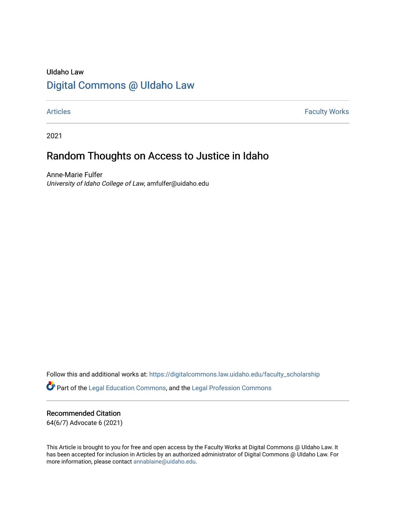### UIdaho Law [Digital Commons @ UIdaho Law](https://digitalcommons.law.uidaho.edu/)

[Articles](https://digitalcommons.law.uidaho.edu/faculty_scholarship) **Faculty Works** 

2021

## Random Thoughts on Access to Justice in Idaho

Anne-Marie Fulfer University of Idaho College of Law, amfulfer@uidaho.edu

Follow this and additional works at: [https://digitalcommons.law.uidaho.edu/faculty\\_scholarship](https://digitalcommons.law.uidaho.edu/faculty_scholarship?utm_source=digitalcommons.law.uidaho.edu%2Ffaculty_scholarship%2F544&utm_medium=PDF&utm_campaign=PDFCoverPages)  Part of the [Legal Education Commons,](http://network.bepress.com/hgg/discipline/857?utm_source=digitalcommons.law.uidaho.edu%2Ffaculty_scholarship%2F544&utm_medium=PDF&utm_campaign=PDFCoverPages) and the [Legal Profession Commons](http://network.bepress.com/hgg/discipline/1075?utm_source=digitalcommons.law.uidaho.edu%2Ffaculty_scholarship%2F544&utm_medium=PDF&utm_campaign=PDFCoverPages) 

### Recommended Citation

64(6/7) Advocate 6 (2021)

This Article is brought to you for free and open access by the Faculty Works at Digital Commons @ UIdaho Law. It has been accepted for inclusion in Articles by an authorized administrator of Digital Commons @ UIdaho Law. For more information, please contact [annablaine@uidaho.edu.](mailto:annablaine@uidaho.edu)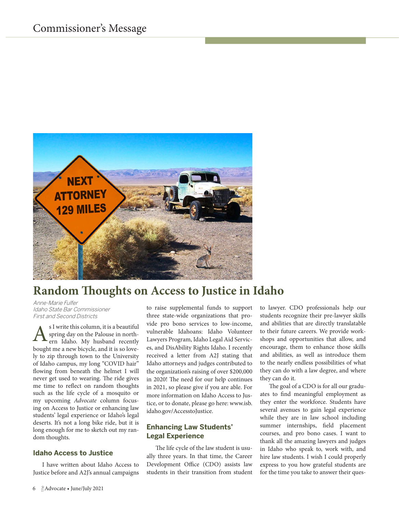

# **Random houghts on Access to Justice in Idaho**

Anne-Marie Fulfer Idaho State Bar Commissioner First and Second Districts

s I write this column, it is a beautiful spring day on the Palouse in northern Idaho. My husband recently bought me a new bicycle, and it is so lovely to zip through town to the University of Idaho campus, my long "COVID hair" flowing from beneath the helmet I will never get used to wearing. The ride gives me time to relect on random thoughts such as the life cycle of a mosquito or my upcoming Advocate column focusing on Access to Justice or enhancing law students' legal experience or Idaho's legal deserts. It's not a long bike ride, but it is long enough for me to sketch out my random thoughts. A

#### **Idaho Access to Justice**

I have written about Idaho Access to Justice before and A2J's annual campaigns to raise supplemental funds to support three state-wide organizations that provide pro bono services to low-income, vulnerable Idahoans: Idaho Volunteer Lawyers Program, Idaho Legal Aid Services, and DisAbility Rights Idaho. I recently received a letter from A2J stating that Idaho attorneys and judges contributed to the organization's raising of over \$200,000 in 2020! he need for our help continues in 2021, so please give if you are able. For more information on Idaho Access to Justice, or to donate, please go here: www.isb. idaho.gov/AccesstoJustice.

#### **Enhancing Law Students' Legal Experience**

he life cycle of the law student is usually three years. In that time, the Career Development Office (CDO) assists law students in their transition from student

to lawyer. CDO professionals help our students recognize their pre-lawyer skills and abilities that are directly translatable to their future careers. We provide workshops and opportunities that allow, and encourage, them to enhance those skills and abilities, as well as introduce them to the nearly endless possibilities of what they can do with a law degree, and where they can do it.

he goal of a CDO is for all our graduates to find meaningful employment as they enter the workforce. Students have several avenues to gain legal experience while they are in law school including summer internships, field placement courses, and pro bono cases. I want to thank all the amazing lawyers and judges in Idaho who speak to, work with, and hire law students. I wish I could properly express to you how grateful students are for the time you take to answer their ques